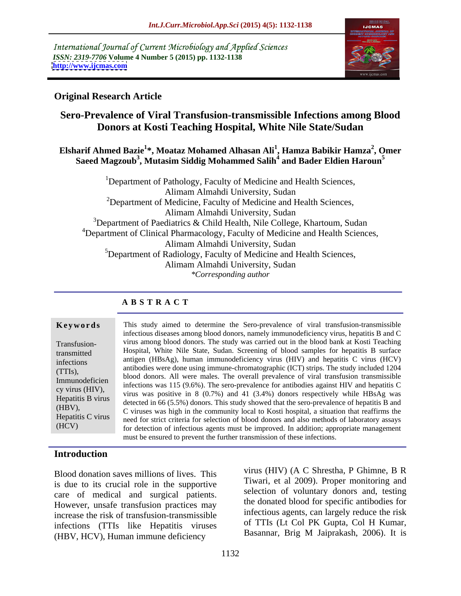International Journal of Current Microbiology and Applied Sciences *ISSN: 2319-7706* **Volume 4 Number 5 (2015) pp. 1132-1138 <http://www.ijcmas.com>**



# **Original Research Article**

# **Sero-Prevalence of Viral Transfusion-transmissible Infections among Blood Donors at Kosti Teaching Hospital, White Nile State/Sudan**

### **Elsharif Ahmed Bazie<sup>1</sup> \*, Moataz Mohamed Alhasan Ali<sup>1</sup> , Hamza Babikir Hamza<sup>2</sup> , Omer Saeed Magzoub<sup>3</sup> , Mutasim Siddig Mohammed Salih<sup>4</sup> and Bader Eldien Haroun<sup>5</sup>**

<sup>1</sup>Department of Pathology, Faculty of Medicine and Health Sciences, Alimam Almahdi University, Sudan <sup>2</sup>Department of Medicine, Faculty of Medicine and Health Sciences, Alimam Almahdi University, Sudan <sup>3</sup>Department of Paediatrics & Child Health, Nile College, Khartoum, Sudan <sup>4</sup>Department of Clinical Pharmacology, Faculty of Medicine and Health Sciences, Alimam Almahdi University, Sudan 5Department of Radiology, Faculty of Medicine and Health Sciences, Alimam Almahdi University, Sudan *\*Corresponding author*

# **A B S T R A C T**

Transfusion-(HCV)

**Keywords** This study aimed to determine the Sero-prevalence of viral transfusion-transmissible infectious diseases among blood donors, namely immunodeficiency virus, hepatitis B and C virus among blood donors. The study was carried out in the blood bank at Kosti Teaching Hospital, White Nile State, Sudan. Screening of blood samples for hepatitis B surface transmitted infections antigen (HBsAg), human immunodeficiency virus (HIV) and hepatitis C virus (HCV) antibodies were done using immune-chromatographic (ICT) strips. The study included 1204 (TTIs),  $\begin{bmatrix} \text{bmatrix} \\ \text{bmatrix} \end{bmatrix}$  blood donors. All were males. The overall prevalence of viral transfusion transmissible improved donors. All were males. The overall prevalence of viral transfusion transmissible infections was 115 (9.6%). The sero-prevalence for antibodies againstHIV and hepatitis C cy virus (HIV), the set of all the set of all the set of all the set of all the set of all the set of all the set of all the set of  $\mu$  and  $\mu$  and  $\mu$  and  $\mu$  and  $\mu$  and  $\mu$  and  $\mu$  and  $\mu$  and  $\mu$  and  $\mu$  and Hepatitis B virus was positive in  $\sigma$  (0.7%) and 41 (5.4%) donors respectively while HBshg was detected in 66 (5.5%) donors. This study showed that the sero-prevalence of hepatitis B and  $\sigma$ C viruses was high in the community local to Kosti hospital, a situation that reaffirms the (HBV), Hepatitis C virus<br>
need for strict criteria for selection of blood donors and also methods of laboratory assays for detection of infectious agents must be improved.In addition; appropriate management must be ensured to prevent the further transmission of these infections.

## **Introduction**

Blood donation saves millions of lives. This is due to its crucial role in the supportive care of medical and surgical patients. However, unsafe transfusion practices may increase the risk of transfusion-transmissible infections (TTIs like Hepatitis viruses (HBV, HCV), Human immune deficiency

virus (HIV) (A C Shrestha, P Ghimne, B R Tiwari, et al 2009). Proper monitoring and selection of voluntary donors and, testing the donated blood for specific antibodies for infectious agents, can largely reduce the risk of TTIs (Lt Col PK Gupta, Col H Kumar, Basannar, Brig M Jaiprakash, 2006). It is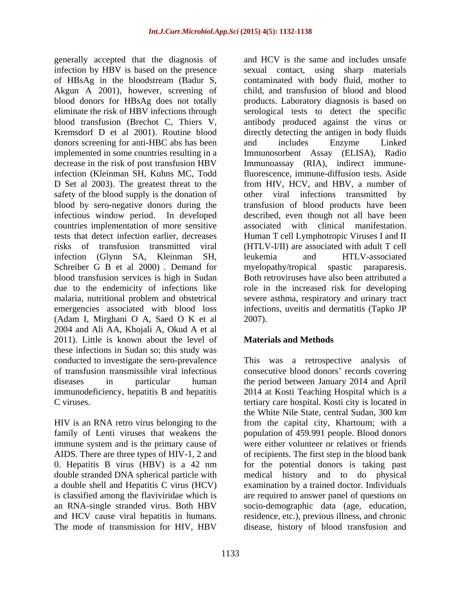generally accepted that the diagnosis of infection by HBV is based on the presence Akgun A 2001), however, screening of donors screening for anti-HBC abs has been and includes Enzyme Linked safety of the blood supply is the donation of other viral infections transmitted by blood by sero-negative donors during the infectious window period. In developed countries implementation of more sensitive Schreiber G B et al 2000). Demand for myelopathy/tropical spastic paraparesis. due to the endemicity of infections like (Adam I, Mirghani O A, Saed O K et al 2004 and Ali AA, Khojali A, Okud A et al 2011). Little is known about the level of **Materials and Methods** these infections in Sudan so; this study was conducted to investigate the sero-prevalence This was a retrospective analysis of of transfusion transmissible viral infectious consecutive blood donors' records covering diseases in particular human the period between January 2014 and April immunodeficiency, hepatitis B and hepatitis 2014 at Kosti Teaching Hospital which is a

immune system and is the primary cause of double stranded DNA spherical particlewith The mode of transmission for HIV, HBV disease, history of blood transfusion and

of HBsAg in the bloodstream (Badur S, contaminated with body fluid, mother to blood donors for HBsAg does not totally products. Laboratory diagnosis is based on eliminate the risk of HBV infections through serological tests to detect the specific blood transfusion (Brechot C, Thiers V, antibody produced against the virus or Kremsdorf D et al 2001). Routine blood directly detecting the antigen in body fluids implemented in some countries resulting in a Immunosorbent Assay (ELISA), Radio decrease in the risk of post transfusion HBV Immunoassay (RIA), indirect immuneinfection (Kleinman SH, Kuhns MC, Todd fluorescence, immune-diffusion tests. Aside D Set al 2003). The greatest threat to the from HIV, HCV, and HBV, a number of tests that detect infection earlier, decreases Human T cell Lymphotropic Viruses I and II risks of transfusion transmitted viral (HTLV-I/II) are associated with adult T cell infection (Glynn SA, Kleinman SH, blood transfusion services is high in Sudan Both retroviruses have also been attributed a malaria, nutritional problem and obstetrical severe asthma, respiratory and urinary tract emergencies associated with blood loss infections, uveitis and dermatitis(Tapko JP and HCV is the same and includes unsafe sexual contact, using sharp materials child, and transfusion of blood and blood and includes Enzyme Linked other viral infections transmitted transfusion of blood products have been described, even though not all have been associated with clinical manifestation. leukemia and HTLV-associated myelopathy/tropical spastic paraparesis. role in the increased risk for developing 2007).

# **Materials and Methods**

C viruses. tertiary care hospital. Kosti city is located in HIV is an RNA retro virus belonging to the from thecapital city, Khartoum; with a family of Lenti viruses that weakens the population of 459.991 people. Blood donors AIDS. There are three types of HIV-1, 2 and of recipients. The first step in the blood bank 0. Hepatitis B virus (HBV) is a 42 nm for the potential donors is taking past a double shell and Hepatitis C virus (HCV) examination by a trained doctor. Individuals is classified among the flaviviridae which is are required to answer panel of questions on an RNA-single stranded virus. Both HBV socio-demographic data (age, education, and HCV cause viral hepatitis in humans. residence, etc.), previous illness, and chronic the White Nile State, central Sudan, 300 km were either volunteer or relatives or friends medical history and to do physical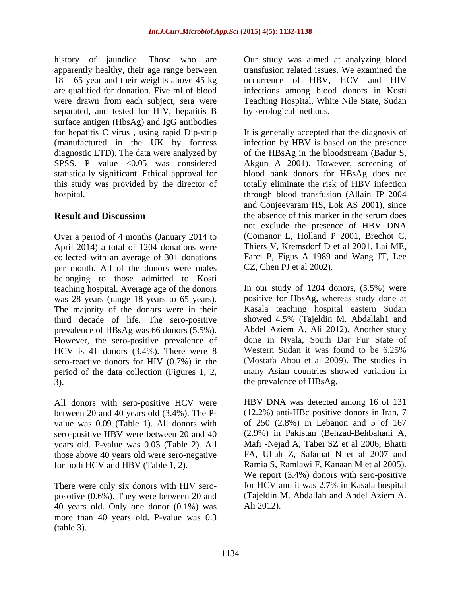history of jaundice. Those who are apparently healthy, their age range between 18 65 year and their weights above 45 kg occurrence of HBV, HCV and HIV are qualified for donation. Five ml of blood infections among blood donors in Kosti were drawn from each subject, sera were separated, and tested for HIV, hepatitis B surface antigen (HbsAg) and IgG antibodies SPSS. P value <0.05 was considered this study was provided by the director of

Over a period of 4 months (January 2014 to April 2014) a total of 1204 donations were collected with an average of 301 donations Farci P, Figus A 1989 and Wang JT, Lee per month. All of the donors were males belonging to those admitted to Kosti teaching hospital. Average age of the donors was 28 years (range 18 years to 65 years). The majority of the donors were in their third decade of life. The sero-positive prevalence of HBsAg was 66 donors (5.5%). However, the sero-positive prevalence of HCV is 41 donors (3.4%). There were 8 Western Sudan it was found to be 6.25% sero-reactive donors for HIV (0.7%) in the period of the data collection (Figures 1, 2, 3). the prevalence of HBsAg.

All donors with sero-positive HCV were between 20 and 40 years old (3.4%). The P value was 0.09 (Table 1). All donors with sero-positive HBV were between 20 and 40 years old. P-value was 0.03 (Table 2). All those above 40 years old were sero-negative for both HCV and HBV (Table 1, 2). Ramia S, Ramlawi F, Kanaan M et al 2005).

There were only six donors with HIV sero posotive (0.6%). They were between 20 and 40 years old. Only one donor (0.1%) was more than 40 years old. P-value was 0.3 (table 3).

Our study was aimed at analyzing blood transfusion related issues. We examined the Teaching Hospital, White Nile State, Sudan by serological methods.

for hepatitis C virus , using rapid Dip-strip It is generally accepted that the diagnosis of (manufactured in the UK by fortress infection by HBV is based on the presence diagnostic LTD). The data were analyzed by of the HBsAg in the bloodstream (Badur S, statistically significant. Ethical approval for blood bank donors for HBsAg does not hospital. through blood transfusion (Allain JP 2004 **Result and Discussion** the absence of this marker in the serum does Akgun A 2001). However, screening of totally eliminate the risk of HBV infection and Conjeevaram HS, Lok AS 2001), since not exclude the presence of HBV DNA (Comanor L, Holland P 2001, Brechot C, Thiers V, Kremsdorf D et al 2001, Lai ME, CZ, Chen PJ et al 2002).

> In our study of 1204 donors, (5.5%) were positive for HbsAg, whereas study done at Kasala teaching hospital eastern Sudan showed 4.5% (Tajeldin M. Abdallah1 and Abdel Aziem A. Ali 2012). Another study done in Nyala, South Dar Fur State of Western Sudan it was found to be 6.25% (Mostafa Abou et al 2009). The studies in many Asian countries showed variation in

HBV DNA was detected among 16 of 131 (12.2%) anti-HBc positive donors in Iran, 7 of 250 (2.8%) in Lebanon and 5 of 167 (2.9%) in Pakistan (Behzad-Behbahani A, Mafi -Nejad A, Tabei SZ et al 2006, Bhatti FA, Ullah Z, Salamat N et al 2007 and Ramia S, Ramlawi F, Kanaan M et al 2005). We report  $(3.4\%)$  donors with sero-positive for HCV and it was 2.7% in Kasala hospital (Tajeldin M. Abdallah and Abdel Aziem A. Ali 2012).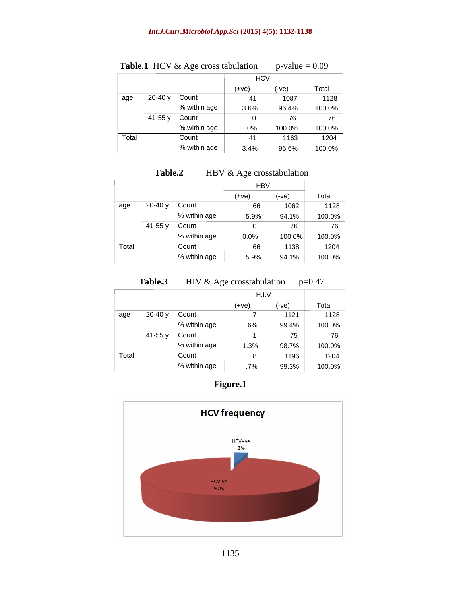# *Int.J.Curr.Microbiol.App.Sci* **(2015) 4(5): 1132-1138**

|                   |                      | <b>HCV</b>                                                      |                    |       |
|-------------------|----------------------|-----------------------------------------------------------------|--------------------|-------|
|                   |                      | (+ve)                                                           | (-ve)              | Total |
| age 20-40 y Count |                      | 41                                                              | 1087               | 1128  |
|                   | % within age $\vert$ | $\begin{array}{ c c c c c } \hline \quad & 3.6\% & \end{array}$ | $96.4\%$   100.0%  |       |
| $41-55$ y Count   |                      |                                                                 |                    |       |
|                   | % within age         | $.0\%$                                                          | $100.0\%$   100.0% |       |
| $\vert$ Total     | Count                | 41                                                              | 1163               | 1204  |
|                   | % within age $ $     | $3.4\%$                                                         | 96.6%   100.0%     |       |

**Table.1** HCV & Age cross tabulation p-value =  $0.09$ 

| Table.2 | <b>HBV</b><br>' & Age crosstabulation |  |  |  |  |
|---------|---------------------------------------|--|--|--|--|
|         |                                       |  |  |  |  |

|       |                      | HBV     |              |        |
|-------|----------------------|---------|--------------|--------|
|       |                      | (+ve)   | (-ve)        | Total  |
|       | age 20-40 y Count    | 66      | 1062 $\vert$ | 1128   |
|       | % within age         | $5.9\%$ | 94.1%        | 100.0% |
|       | $41-55 y$ Count      |         |              |        |
|       | % within age $\vert$ | $0.0\%$ | 100.0%       | 100.0% |
| Total | Count                | 66      | 1138         | 1204   |
|       | % within age         | $5.9\%$ | 94.1%        | 100.0% |

|                   | $\frac{1}{2}$ |         |                |            |
|-------------------|---------------|---------|----------------|------------|
|                   |               | H.I.V   | ___            |            |
|                   |               |         |                | Total      |
| age 20-40 y Count |               |         | 1121           | 1128       |
|                   | % within age  | $.6\%$  | $99.4\%$       | 100.0%     |
|                   | 41-55 y Count |         | $\overline{z}$ | $\sqrt{0}$ |
|                   | % within age  | $1.3\%$ | $98.7\%$       | 100.0%     |
| Total             | Count         |         | 1196           | 1204       |
|                   | % within age  | $.7\%$  | 99.3% $\vert$  | 100.0%     |

**Table.3** HIV & Age crosstabulation p=0.47

### **Figure.1**

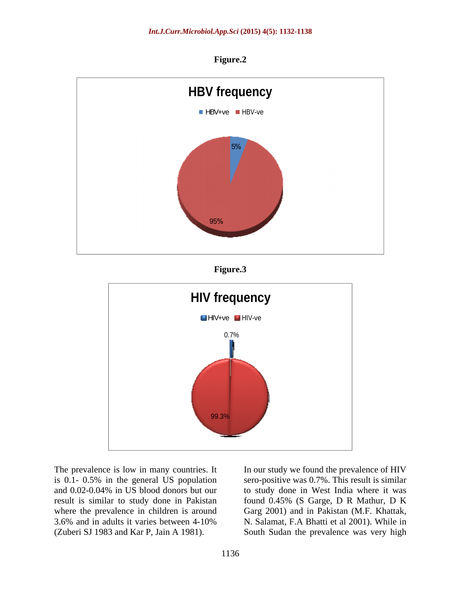







The prevalence is low in many countries. It In our study we found the prevalence of HIV

is 0.1- 0.5% in the general US population sero-positive was 0.7%. This result is similar and 0.02-0.04% in US blood donors but our to study done in West India where it was result is similar to study done in Pakistan found 0.45% (S Garge, D R Mathur, D K where the prevalence in children is around Garg 2001) and in Pakistan (M.F. Khattak, 3.6% and in adults it varies between 4-10% N. Salamat, F.A Bhatti et al 2001). While in (Zuberi SJ 1983 and Kar P, Jain A 1981). South Sudan the prevalence was very high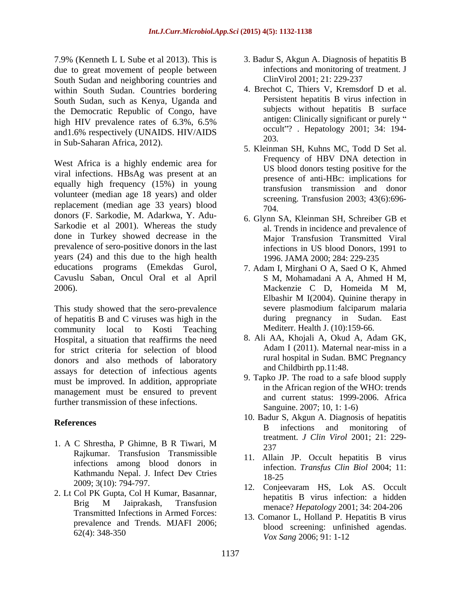7.9% (Kenneth L L Sube et al 2013). This is due to great movement of people between infections and monitoring of<br>South Sudan and neighboring countries and ClinVirol 2001; 21: 229-237 South Sudan and neighboring countries and within South Sudan. Countries bordering South Sudan, such as Kenya, Uganda and the Democratic Republic of Congo, have and 1.6% respectively (UNAIDS. HIV/AIDS  $^{0}$   $^{0}$   $^{0}$   $^{2}$  03.18) in Sub-Saharan Africa, 2012).

viral infections. HBsAg was present at an equally high frequency (15%) in young volunteer (median age 18 years) and older replacement (median age 33 years) blood  $\frac{321}{704}$ donors (F. Sarkodie, M. Adarkwa, Y. Adu- Sarkodie et al 2001). Whereas the study done in Turkey showed decrease in the prevalence of sero-positive donors in the last years (24) and this due to the high health educations programs (Emekdas Gurol, Cavuslu Saban, Oncul Oral et al April 2006). Mackenzie C D, Homeida M M,

This study showed that the sero-prevalence severe plasmodium falciparum malaria of hepatitis B and C viruses was high in the community local to Kosti Teaching Hospital, a situation that reaffirms the need for strict criteria for selection of blood donors and also methods of laboratory assays for detection of infectious agents must be improved. In addition, appropriate management must be ensured to prevent further transmission of these infections.

- C Sinesula, P Ginnine, B R Tiwari, M  $^{237}$ <br>Rajkumar. Transfusion Transmissible infections among blood donors in Kathmandu Nepal. J. Infect Dev Ctries<br>18-25
- 2. Lt Col PK Gupta, Col H Kumar, Basannar, Transmitted Infections in Armed Forces: prevalence and Trends. MJAFI 2006;
- 3. Badur S, Akgun A. Diagnosis of hepatitis B infections and monitoring of treatment. J ClinVirol 2001; 21: 229-237
- high HIV prevalence rates of 6.3%, 6.5% antigen: Clinically significant or purely 4. Brechot C, Thiers V, Kremsdorf D et al. Persistent hepatitis B virus infection in subjects without hepatitis B surface antigen: Clinically significant or purely occult"? . Hepatology 2001; 34: 194-203.
- West Africa is a highly endemic area for Frequency of HBV DNA detection in 5. Kleinman SH, Kuhns MC, Todd D Set al. Frequency of HBV DNA detection in US blood donors testing positive for the presence of anti-HBc: implications for transfusion transmission and donor screening. Transfusion 2003; 43(6):696- 704.
	- 6. Glynn SA, Kleinman SH, Schreiber GB et al. Trends in incidence and prevalence of Major Transfusion Transmitted Viral infections in US blood Donors, 1991 to 1996. JAMA 2000; 284: 229-235
	- 7. Adam I, Mirghani O A, Saed O K, Ahmed S M, Mohamadani A A, Ahmed H M, Mackenzie C D, Homeida M M, Elbashir M I(2004). Quinine therapy in severe plasmodium falciparum malaria during pregnancy in Sudan. Mediterr. Health J. (10):159-66.
	- 8. Ali AA, Khojali A, Okud A, Adam GK, Adam I (2011). Maternal near-miss in a rural hospital in Sudan. BMC Pregnancy and Childbirth pp.11:48.
	- 9. Tapko JP. The road to a safe blood supply in the African region of the WHO: trends and current status: 1999-2006. Africa Sanguine. 2007; 10, 1: 1-6)
- **References** B infections and monitoring of 1. A C Shrestha, P Ghimne, B R Tiwari, M  $\frac{1}{237}$ 10. Badur S, Akgun A. Diagnosis of hepatitis B infections and monitoring of treatment. *J Clin Virol* 2001; 21: 229- 237
	- 11. Allain JP. Occult hepatitis B virus infection. *Transfus Clin Biol* 2004; 11: 18-25
	- 2009; 3(10): 794-797. 12. Conjeevaram HS, Lok AS. Occult Brig M Jaiprakash, Transfusion menace? Hengtology 2001: 34: 204 206 hepatitis B virus infection: a hidden menace? *Hepatology* 2001; 34: 204-206
	- $62(4)$ : 348-350 13. Comanor L, Holland P. Hepatitis B virus blood screening: unfinished agendas. *Vox Sang* 2006; 91: 1-12